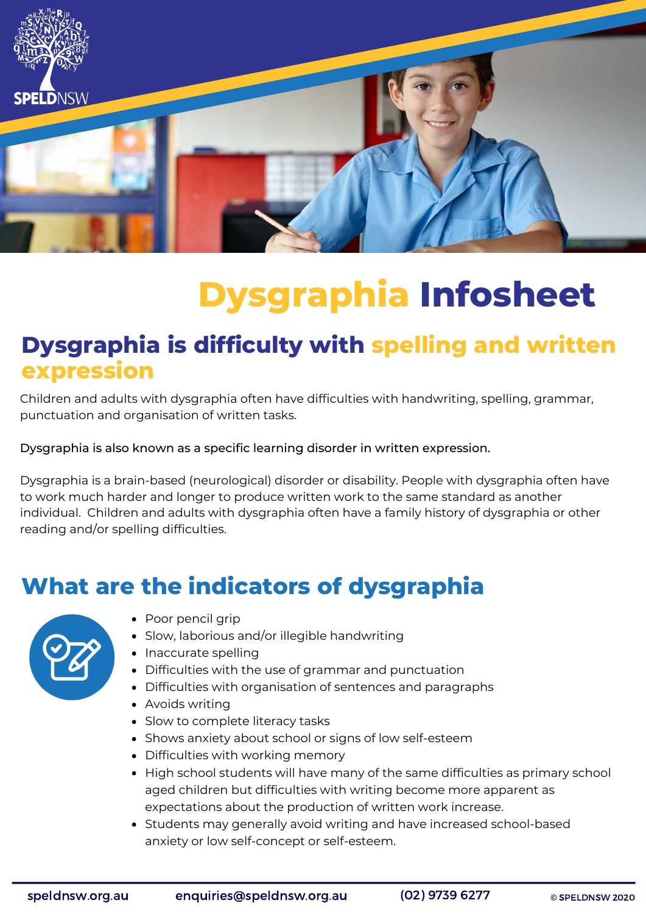

# **Dysgraphia Infosheet**

#### **Dysgraphia is difficulty with spelling and written expression**

Children and adults with dysgraphia often have difficulties with handwriting, spelling, grammar, punctuation and organisation of written tasks.

Dysgraphia is also known as a specific learning disorder in written expression.

Dysgraphia is a brain-based (neurological) disorder or disability. People with dysgraphia often have to work much harder and longer to produce written work to the same standard as another individual. Children and adults with dysgraphia often have a family history of dysgraphia or other reading and/or spelling difficulties.

#### **What are the indicators of dysgraphia**



- Poor pencil grip
- Slow, laborious and/or illegible handwriting
- Inaccurate spelling
- Difficulties with the use of grammar and punctuation
- Difficulties with organisation of sentences and paragraphs
- Avoids writing
- Slow to complete literacy tasks
- Shows anxiety about school or signs of low self-esteem
- Difficulties with working memory
- High school students will have many of the same difficulties as primary school aged children but difficulties with writing become more apparent as expectations about the production of written work increase.
- Students may generally avoid writing and have increased school-based anxiety or low self-concept or self-esteem.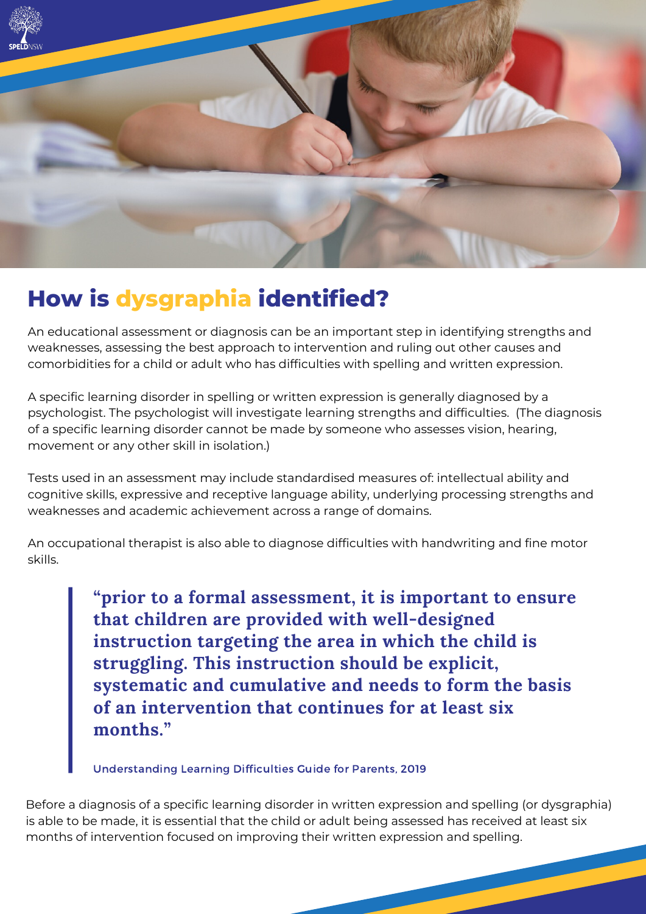

### **How is dysgraphia identified?**

An educational assessment or diagnosis can be an important step in identifying strengths and weaknesses, assessing the best approach to intervention and ruling out other causes and comorbidities for a child or adult who has difficulties with spelling and written expression.

A specific learning disorder in spelling or written expression is generally diagnosed by a psychologist. The psychologist will investigate learning strengths and difficulties. (The diagnosis of a specific learning disorder cannot be made by someone who assesses vision, hearing, movement or any other skill in isolation.)

Tests used in an assessment may include standardised measures of: intellectual ability and cognitive skills, expressive and receptive language ability, underlying processing strengths and weaknesses and academic achievement across a range of domains.

An occupational therapist is also able to diagnose difficulties with handwriting and fine motor skills.

> **"prior to a formal assessment, it is important to ensure that children are provided with well-designed instruction targeting the area in which the child is struggling. This instruction should be explicit, systematic and cumulative and needs to form the basis of an intervention that continues for at least six months."**

Understanding Learning Difficulties Guide for Parents, 2019

Before a diagnosis of a specific learning disorder in written expression and spelling (or dysgraphia) is able to be made, it is essential that the child or adult being assessed has received at least six months of intervention focused on improving their written expression and spelling.